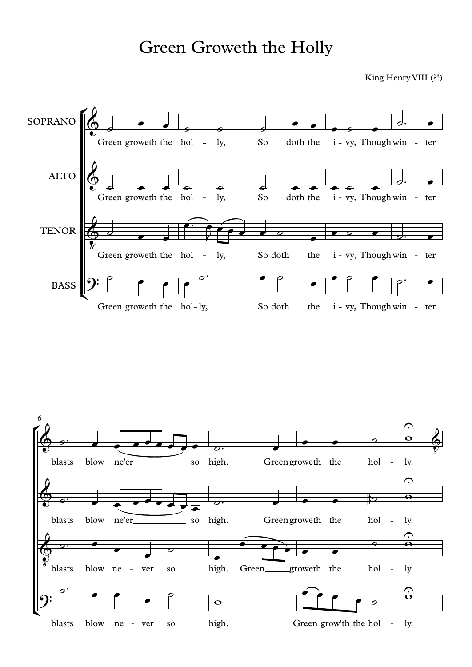## Green Groweth the Holly

King Henry VIII (?!)